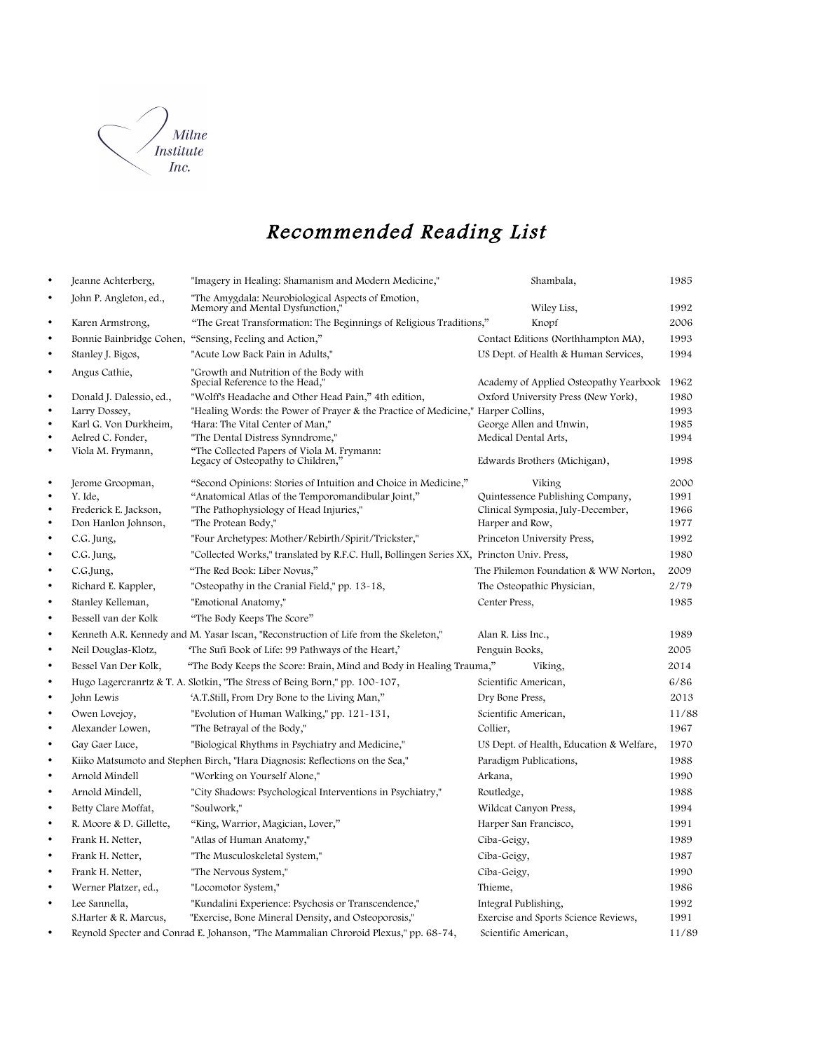

## Recommended Reading List

| $\bullet$ | Jeanne Achterberg,       | "Imagery in Healing: Shamanism and Modern Medicine,"                                     | Shambala,                                   | 1985  |
|-----------|--------------------------|------------------------------------------------------------------------------------------|---------------------------------------------|-------|
| $\bullet$ | John P. Angleton, ed.,   | "The Amygdala: Neurobiological Aspects of Emotion,<br>Memory and Mental Dysfunction,"    | Wiley Liss,                                 | 1992  |
| $\bullet$ | Karen Armstrong,         | "The Great Transformation: The Beginnings of Religious Traditions,"                      | Knopf                                       | 2006  |
| $\bullet$ | Bonnie Bainbridge Cohen, | "Sensing, Feeling and Action,"                                                           | Contact Editions (Northhampton MA),         | 1993  |
| $\bullet$ | Stanley J. Bigos,        | "Acute Low Back Pain in Adults,"                                                         | US Dept. of Health & Human Services,        | 1994  |
| $\bullet$ | Angus Cathie,            | "Growth and Nutrition of the Body with<br>"Special Reference to the Head,                | Academy of Applied Osteopathy Yearbook 1962 |       |
| $\bullet$ | Donald J. Dalessio, ed., | "Wolff's Headache and Other Head Pain," 4th edition,                                     | Oxford University Press (New York),         | 1980  |
| $\bullet$ | Larry Dossey,            | "Healing Words: the Power of Prayer & the Practice of Medicine," Harper Collins,         |                                             | 1993  |
| $\bullet$ | Karl G. Von Durkheim,    | "Hara: The Vital Center of Man,"                                                         | George Allen and Unwin,                     | 1985  |
| $\bullet$ | Aelred C. Fonder,        | "The Dental Distress Synndrome,"                                                         | Medical Dental Arts,                        | 1994  |
| $\bullet$ | Viola M. Frymann,        | "The Collected Papers of Viola M. Frymann:<br>Legacy of Osteopathy to Children,"         | Edwards Brothers (Michigan),                | 1998  |
| $\bullet$ | Jerome Groopman,         | "Second Opinions: Stories of Intuition and Choice in Medicine,"                          | Viking                                      | 2000  |
| $\bullet$ | Y. Ide,                  | "Anatomical Atlas of the Temporomandibular Joint,"                                       | Quintessence Publishing Company,            | 1991  |
| $\bullet$ | Frederick E. Jackson,    | "The Pathophysiology of Head Injuries,"                                                  | Clinical Symposia, July-December,           | 1966  |
| $\bullet$ | Don Hanlon Johnson,      | "The Protean Body,"                                                                      | Harper and Row,                             | 1977  |
| $\bullet$ | C.G. Jung,               | "Four Archetypes: Mother/Rebirth/Spirit/Trickster,"                                      | Princeton University Press,                 | 1992  |
| $\bullet$ | C.G. Jung,               | "Collected Works," translated by R.F.C. Hull, Bollingen Series XX, Princton Univ. Press, |                                             | 1980  |
| $\bullet$ | C.G.Jung,                | "The Red Book: Liber Novus,"                                                             | The Philemon Foundation & WW Norton,        | 2009  |
| $\bullet$ | Richard E. Kappler,      | "Osteopathy in the Cranial Field," pp. 13-18,                                            | The Osteopathic Physician,                  | 2/79  |
| $\bullet$ | Stanley Kelleman,        | "Emotional Anatomy,"                                                                     | Center Press,                               | 1985  |
| $\bullet$ | Bessell van der Kolk     | "The Body Keeps The Score"                                                               |                                             |       |
| $\bullet$ |                          | Kenneth A.R. Kennedy and M. Yasar Iscan, "Reconstruction of Life from the Skeleton,"     | Alan R. Liss Inc.,                          | 1989  |
| $\bullet$ | Neil Douglas-Klotz,      | The Sufi Book of Life: 99 Pathways of the Heart,'                                        | Penguin Books,                              | 2005  |
| $\bullet$ | Bessel Van Der Kolk,     | "The Body Keeps the Score: Brain, Mind and Body in Healing Trauma,"                      | Viking,                                     | 2014  |
| $\bullet$ |                          | Hugo Lagercranrtz & T. A. Slotkin, "The Stress of Being Born," pp. 100-107,              | Scientific American,                        | 6/86  |
| $\bullet$ | John Lewis               | 'A.T.Still, From Dry Bone to the Living Man,"                                            | Dry Bone Press,                             | 2013  |
| $\bullet$ | Owen Lovejoy,            | "Evolution of Human Walking," pp. 121-131,                                               | Scientific American,                        | 11/88 |
| $\bullet$ | Alexander Lowen,         | "The Betrayal of the Body,"                                                              | Collier,                                    | 1967  |
| $\bullet$ | Gay Gaer Luce,           | "Biological Rhythms in Psychiatry and Medicine,"                                         | US Dept. of Health, Education & Welfare,    | 1970  |
| $\bullet$ |                          | Kiiko Matsumoto and Stephen Birch, "Hara Diagnosis: Reflections on the Sea,"             | Paradigm Publications,                      | 1988  |
| $\bullet$ | Arnold Mindell           | "Working on Yourself Alone,"                                                             | Arkana,                                     | 1990  |
| $\bullet$ | Arnold Mindell,          | "City Shadows: Psychological Interventions in Psychiatry,"                               | Routledge,                                  | 1988  |
| $\bullet$ | Betty Clare Moffat,      | "Soulwork,"                                                                              | Wildcat Canyon Press,                       | 1994  |
| $\bullet$ | R. Moore & D. Gillette,  | "King, Warrior, Magician, Lover,"                                                        | Harper San Francisco,                       | 1991  |
| $\bullet$ | Frank H. Netter,         | "Atlas of Human Anatomy,"                                                                | Ciba-Geigy,                                 | 1989  |
| $\bullet$ | Frank H. Netter,         | "The Musculoskeletal System,"                                                            | Ciba-Geigy,                                 | 1987  |
| $\bullet$ | Frank H. Netter,         | "The Nervous System,"                                                                    | Ciba-Geigy,                                 | 1990  |
| $\bullet$ | Werner Platzer, ed.,     | "Locomotor System,"                                                                      | Thieme,                                     | 1986  |
| $\bullet$ | Lee Sannella,            | "Kundalini Experience: Psychosis or Transcendence,"                                      | Integral Publishing,                        | 1992  |
|           | S.Harter & R. Marcus,    | "Exercise, Bone Mineral Density, and Osteoporosis,"                                      | Exercise and Sports Science Reviews,        | 1991  |
| $\bullet$ |                          | Reynold Specter and Conrad E. Johanson, "The Mammalian Chroroid Plexus," pp. 68-74,      | Scientific American,                        | 11/89 |